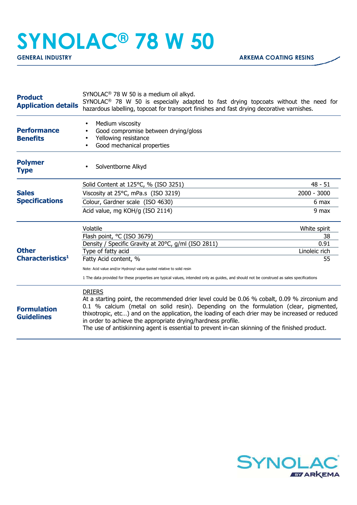## **SYNOLAC® 78 W 50**

| <b>Product</b><br><b>Application details</b> | SYNOLAC <sup>®</sup> 78 W 50 is a medium oil alkyd.<br>SYNOLAC <sup>®</sup> 78 W 50 is especially adapted to fast drying topcoats without the need for<br>hazardous labelling, topcoat for transport finishes and fast drying decorative varnishes.                                                                                                                                                                                                                          |                       |
|----------------------------------------------|------------------------------------------------------------------------------------------------------------------------------------------------------------------------------------------------------------------------------------------------------------------------------------------------------------------------------------------------------------------------------------------------------------------------------------------------------------------------------|-----------------------|
| <b>Performance</b><br><b>Benefits</b>        | Medium viscosity<br>$\bullet$<br>Good compromise between drying/gloss<br>Yellowing resistance<br>Good mechanical properties                                                                                                                                                                                                                                                                                                                                                  |                       |
| <b>Polymer</b><br><b>Type</b>                | Solventborne Alkyd                                                                                                                                                                                                                                                                                                                                                                                                                                                           |                       |
| <b>Sales</b><br><b>Specifications</b>        | Solid Content at 125°C, % (ISO 3251)                                                                                                                                                                                                                                                                                                                                                                                                                                         | $48 - 51$             |
|                                              | Viscosity at 25°C, mPa.s (ISO 3219)                                                                                                                                                                                                                                                                                                                                                                                                                                          | $2000 - 3000$         |
|                                              | Colour, Gardner scale (ISO 4630)                                                                                                                                                                                                                                                                                                                                                                                                                                             | 6 max                 |
|                                              | Acid value, mg KOH/g (ISO 2114)                                                                                                                                                                                                                                                                                                                                                                                                                                              | 9 max                 |
| <b>Other</b><br>Characteristics <sup>1</sup> | Volatile                                                                                                                                                                                                                                                                                                                                                                                                                                                                     | White spirit          |
|                                              | Flash point, °C (ISO 3679)                                                                                                                                                                                                                                                                                                                                                                                                                                                   | 38                    |
|                                              | Density / Specific Gravity at 20°C, g/ml (ISO 2811)<br>Type of fatty acid                                                                                                                                                                                                                                                                                                                                                                                                    | 0.91<br>Linoleic rich |
|                                              | Fatty Acid content, %                                                                                                                                                                                                                                                                                                                                                                                                                                                        | 55                    |
|                                              | Note: Acid value and/or Hydroxyl value quoted relative to solid resin                                                                                                                                                                                                                                                                                                                                                                                                        |                       |
|                                              | 1 The data provided for these properties are typical values, intended only as guides, and should not be construed as sales specifications                                                                                                                                                                                                                                                                                                                                    |                       |
| <b>Formulation</b><br><b>Guidelines</b>      | <b>DRIERS</b><br>At a starting point, the recommended drier level could be 0.06 % cobalt, 0.09 % zirconium and<br>0.1 % calcium (metal on solid resin). Depending on the formulation (clear, pigmented,<br>thixotropic, etc) and on the application, the loading of each drier may be increased or reduced<br>in order to achieve the appropriate drying/hardness profile.<br>The use of antiskinning agent is essential to prevent in-can skinning of the finished product. |                       |